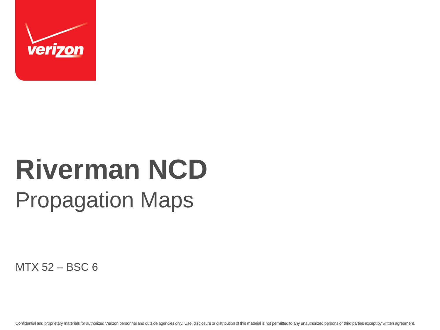

## **Riverman NCD** Propagation Maps

MTX 52 – BSC 6

Confidential and proprietary materials for authorized Verizon personnel and outside agencies only. Use, disclosure or distribution of this material is not permitted to any unauthorized persons or third parties except by wr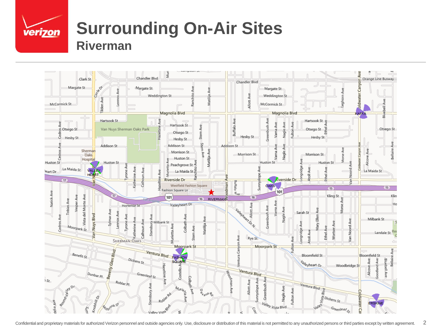

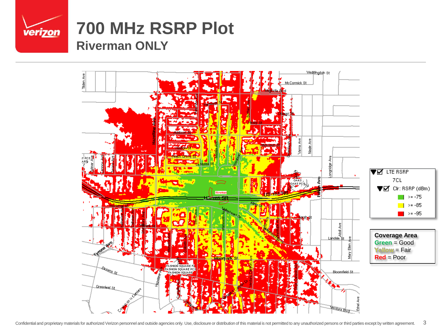

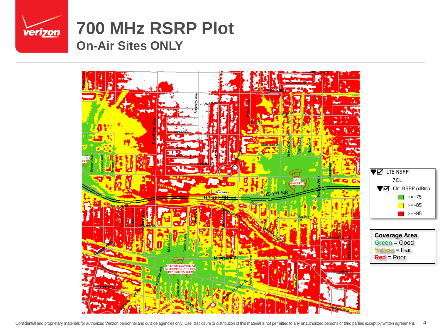